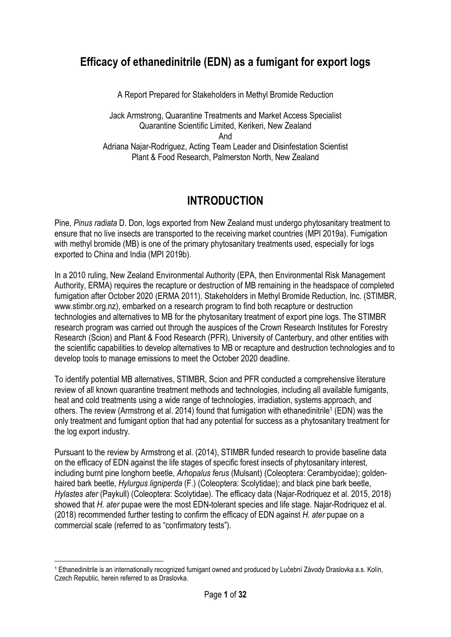## Efficacy of ethanedinitrile (EDN) as a fumigant for export logs

A Report Prepared for Stakeholders in Methyl Bromide Reduction

Jack Armstrong, Quarantine Treatments and Market Access Specialist Quarantine Scientific Limited, Kerikeri, New Zealand And Adriana Najar-Rodriguez, Acting Team Leader and Disinfestation Scientist Plant & Food Research, Palmerston North, New Zealand

# INTRODUCTION

Pine, Pinus radiata D. Don, logs exported from New Zealand must undergo phytosanitary treatment to ensure that no live insects are transported to the receiving market countries (MPI 2019a). Fumigation with methyl bromide (MB) is one of the primary phytosanitary treatments used, especially for logs exported to China and India (MPI 2019b).

In a 2010 ruling, New Zealand Environmental Authority (EPA, then Environmental Risk Management Authority, ERMA) requires the recapture or destruction of MB remaining in the headspace of completed fumigation after October 2020 (ERMA 2011). Stakeholders in Methyl Bromide Reduction, Inc. (STIMBR, www.stimbr.org.nz), embarked on a research program to find both recapture or destruction technologies and alternatives to MB for the phytosanitary treatment of export pine logs. The STIMBR research program was carried out through the auspices of the Crown Research Institutes for Forestry Research (Scion) and Plant & Food Research (PFR), University of Canterbury, and other entities with the scientific capabilities to develop alternatives to MB or recapture and destruction technologies and to develop tools to manage emissions to meet the October 2020 deadline.

To identify potential MB alternatives, STIMBR, Scion and PFR conducted a comprehensive literature review of all known quarantine treatment methods and technologies, including all available fumigants, heat and cold treatments using a wide range of technologies, irradiation, systems approach, and others. The review (Armstrong et al. 2014) found that fumigation with ethanedinitrile<sup>1</sup> (EDN) was the only treatment and fumigant option that had any potential for success as a phytosanitary treatment for the log export industry.

Pursuant to the review by Armstrong et al. (2014), STIMBR funded research to provide baseline data on the efficacy of EDN against the life stages of specific forest insects of phytosanitary interest, including burnt pine longhorn beetle, Arhopalus ferus (Mulsant) (Coleoptera: Cerambycidae); goldenhaired bark beetle, Hylurgus ligniperda (F.) (Coleoptera: Scolytidae); and black pine bark beetle, Hylastes ater (Paykull) (Coleoptera: Scolytidae). The efficacy data (Najar-Rodriquez et al. 2015, 2018) showed that H. ater pupae were the most EDN-tolerant species and life stage. Najar-Rodriquez et al. (2018) recommended further testing to confirm the efficacy of EDN against H. ater pupae on a commercial scale (referred to as "confirmatory tests").

-

<sup>1</sup> Ethanedinitrile is an internationally recognized fumigant owned and produced by Lučební Závody Draslovka a.s. Kolín, Czech Republic, herein referred to as Draslovka.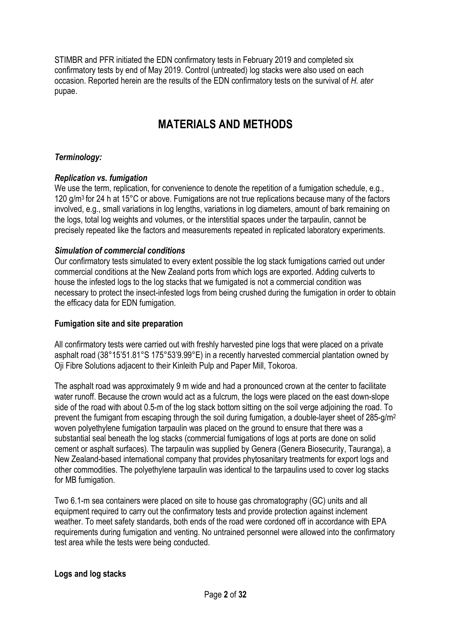STIMBR and PFR initiated the EDN confirmatory tests in February 2019 and completed six confirmatory tests by end of May 2019. Control (untreated) log stacks were also used on each occasion. Reported herein are the results of the EDN confirmatory tests on the survival of H. ater pupae.

# MATERIALS AND METHODS

### Terminology:

#### Replication vs. fumigation

We use the term, replication, for convenience to denote the repetition of a fumigation schedule, e.g., 120 g/m<sup>3</sup> for 24 h at 15°C or above. Fumigations are not true replications because many of the factors involved, e.g., small variations in log lengths, variations in log diameters, amount of bark remaining on the logs, total log weights and volumes, or the interstitial spaces under the tarpaulin, cannot be precisely repeated like the factors and measurements repeated in replicated laboratory experiments.

#### Simulation of commercial conditions

Our confirmatory tests simulated to every extent possible the log stack fumigations carried out under commercial conditions at the New Zealand ports from which logs are exported. Adding culverts to house the infested logs to the log stacks that we fumigated is not a commercial condition was necessary to protect the insect-infested logs from being crushed during the fumigation in order to obtain the efficacy data for EDN fumigation.

#### Fumigation site and site preparation

All confirmatory tests were carried out with freshly harvested pine logs that were placed on a private asphalt road (38°15'51.81°S 175°53'9.99°E) in a recently harvested commercial plantation owned by Oji Fibre Solutions adjacent to their Kinleith Pulp and Paper Mill, Tokoroa.

The asphalt road was approximately 9 m wide and had a pronounced crown at the center to facilitate water runoff. Because the crown would act as a fulcrum, the logs were placed on the east down-slope side of the road with about 0.5-m of the log stack bottom sitting on the soil verge adjoining the road. To prevent the fumigant from escaping through the soil during fumigation, a double-layer sheet of 285-g/m<sup>2</sup> woven polyethylene fumigation tarpaulin was placed on the ground to ensure that there was a substantial seal beneath the log stacks (commercial fumigations of logs at ports are done on solid cement or asphalt surfaces). The tarpaulin was supplied by Genera (Genera Biosecurity, Tauranga), a New Zealand-based international company that provides phytosanitary treatments for export logs and other commodities. The polyethylene tarpaulin was identical to the tarpaulins used to cover log stacks for MB fumigation.

Two 6.1-m sea containers were placed on site to house gas chromatography (GC) units and all equipment required to carry out the confirmatory tests and provide protection against inclement weather. To meet safety standards, both ends of the road were cordoned off in accordance with EPA requirements during fumigation and venting. No untrained personnel were allowed into the confirmatory test area while the tests were being conducted.

#### Logs and log stacks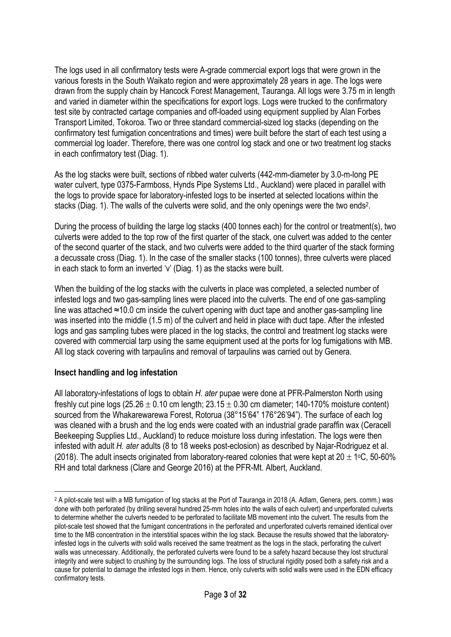The logs used in all confirmatory tests were A-grade commercial export logs that were grown in the various forests in the South Waikato region and were approximately 28 years in age. The logs were drawn from the supply chain by Hancock Forest Management, Tauranga. All logs were 3.75 m in length and varied in diameter within the specifications for export logs. Logs were trucked to the confirmatory test site by contracted cartage companies and off-loaded using equipment supplied by Alan Forbes Transport Limited, Tokoroa. Two or three standard commercial-sized log stacks (depending on the confirmatory test fumigation concentrations and times) were built before the start of each test using a commercial log loader. Therefore, there was one control log stack and one or two treatment log stacks in each confirmatory test (Diag. 1).

As the log stacks were built, sections of ribbed water culverts (442-mm-diameter by 3.0-m-long PE water culvert, type 0375-Farmboss, Hynds Pipe Systems Ltd., Auckland) were placed in parallel with the logs to provide space for laboratory-infested logs to be inserted at selected locations within the stacks (Diag. 1). The walls of the culverts were solid, and the only openings were the two ends<sup>2</sup>.

During the process of building the large log stacks (400 tonnes each) for the control or treatment(s), two culverts were added to the top row of the first quarter of the stack, one culvert was added to the center of the second quarter of the stack, and two culverts were added to the third quarter of the stack forming a decussate cross (Diag. 1). In the case of the smaller stacks (100 tonnes), three culverts were placed in each stack to form an inverted 'v' (Diag. 1) as the stacks were built.

When the building of the log stacks with the culverts in place was completed, a selected number of infested logs and two gas-sampling lines were placed into the culverts. The end of one gas-sampling line was attached ≈10.0 cm inside the culvert opening with duct tape and another gas-sampling line was inserted into the middle (1.5 m) of the culvert and held in place with duct tape. After the infested logs and gas sampling tubes were placed in the log stacks, the control and treatment log stacks were covered with commercial tarp using the same equipment used at the ports for log fumigations with MB. All log stack covering with tarpaulins and removal of tarpaulins was carried out by Genera.

#### Insect handling and log infestation

-

All laboratory-infestations of logs to obtain H. ater pupae were done at PFR-Palmerston North using freshly cut pine logs  $(25.26 \pm 0.10 \text{ cm}$  length;  $23.15 \pm 0.30 \text{ cm}$  diameter; 140-170% moisture content) sourced from the Whakarewarewa Forest, Rotorua (38°15'64" 176°26'94"). The surface of each log was cleaned with a brush and the log ends were coated with an industrial grade paraffin wax (Ceracell Beekeeping Supplies Ltd., Auckland) to reduce moisture loss during infestation. The logs were then infested with adult H. ater adults (8 to 18 weeks post-eclosion) as described by Najar-Rodriguez et al. (2018). The adult insects originated from laboratory-reared colonies that were kept at  $20 \pm 1$ °C, 50-60% RH and total darkness (Clare and George 2016) at the PFR-Mt. Albert, Auckland.

<sup>2</sup> A pilot-scale test with a MB fumigation of log stacks at the Port of Tauranga in 2018 (A. Adlam, Genera, pers. comm.) was done with both perforated (by drilling several hundred 25-mm holes into the walls of each culvert) and unperforated culverts to determine whether the culverts needed to be perforated to facilitate MB movement into the culvert. The results from the pilot-scale test showed that the fumigant concentrations in the perforated and unperforated culverts remained identical over time to the MB concentration in the interstitial spaces within the log stack. Because the results showed that the laboratoryinfested logs in the culverts with solid walls received the same treatment as the logs in the stack, perforating the culvert walls was unnecessary. Additionally, the perforated culverts were found to be a safety hazard because they lost structural integrity and were subject to crushing by the surrounding logs. The loss of structural rigidity posed both a safety risk and a cause for potential to damage the infested logs in them. Hence, only culverts with solid walls were used in the EDN efficacy confirmatory tests.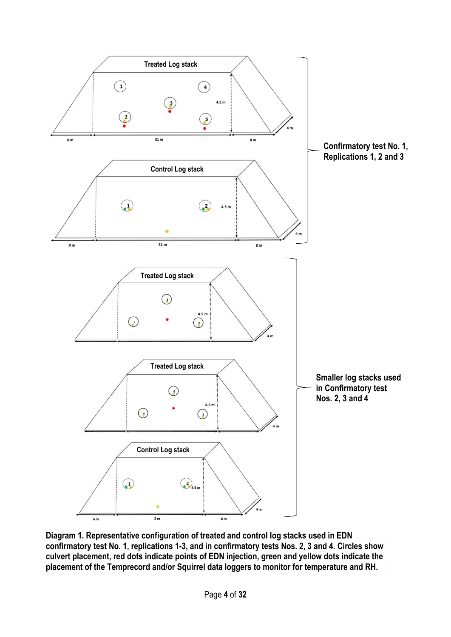

Diagram 1. Representative configuration of treated and control log stacks used in EDN confirmatory test No. 1, replications 1-3, and in confirmatory tests Nos. 2, 3 and 4. Circles show culvert placement, red dots indicate points of EDN injection, green and yellow dots indicate the placement of the Temprecord and/or Squirrel data loggers to monitor for temperature and RH.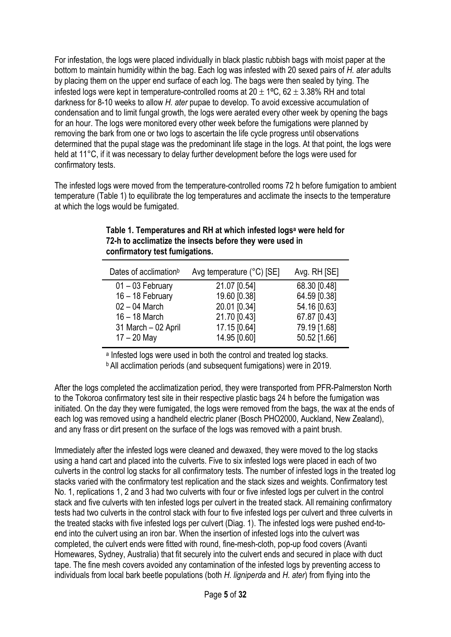For infestation, the logs were placed individually in black plastic rubbish bags with moist paper at the bottom to maintain humidity within the bag. Each log was infested with 20 sexed pairs of H. ater adults by placing them on the upper end surface of each log. The bags were then sealed by tying. The infested logs were kept in temperature-controlled rooms at  $20 \pm 1^{\circ}$ C, 62  $\pm$  3.38% RH and total darkness for 8-10 weeks to allow H. ater pupae to develop. To avoid excessive accumulation of condensation and to limit fungal growth, the logs were aerated every other week by opening the bags for an hour. The logs were monitored every other week before the fumigations were planned by removing the bark from one or two logs to ascertain the life cycle progress until observations determined that the pupal stage was the predominant life stage in the logs. At that point, the logs were held at 11°C, if it was necessary to delay further development before the logs were used for confirmatory tests.

The infested logs were moved from the temperature-controlled rooms 72 h before fumigation to ambient temperature (Table 1) to equilibrate the log temperatures and acclimate the insects to the temperature at which the logs would be fumigated.

| Dates of acclimation <sup>b</sup> | Avg temperature (°C) [SE] | Avg. RH [SE] |
|-----------------------------------|---------------------------|--------------|
| $01 - 03$ February                | 21.07 [0.54]              | 68.30 [0.48] |
| 16 - 18 February                  | 19.60 [0.38]              | 64.59 [0.38] |
| $02 - 04$ March                   | 20.01 [0.34]              | 54.16 [0.63] |
| $16 - 18$ March                   | 21.70 [0.43]              | 67.87 [0.43] |
| 31 March - 02 April               | 17.15 [0.64]              | 79.19 [1.68] |
| $17 - 20$ May                     | 14.95 [0.60]              | 50.52 [1.66] |

#### Table 1. Temperatures and RH at which infested logs<sup>a</sup> were held for 72-h to acclimatize the insects before they were used in confirmatory test fumigations.

a Infested logs were used in both the control and treated log stacks.

**b** All acclimation periods (and subsequent fumigations) were in 2019.

After the logs completed the acclimatization period, they were transported from PFR-Palmerston North to the Tokoroa confirmatory test site in their respective plastic bags 24 h before the fumigation was initiated. On the day they were fumigated, the logs were removed from the bags, the wax at the ends of each log was removed using a handheld electric planer (Bosch PHO2000, Auckland, New Zealand), and any frass or dirt present on the surface of the logs was removed with a paint brush.

Immediately after the infested logs were cleaned and dewaxed, they were moved to the log stacks using a hand cart and placed into the culverts. Five to six infested logs were placed in each of two culverts in the control log stacks for all confirmatory tests. The number of infested logs in the treated log stacks varied with the confirmatory test replication and the stack sizes and weights. Confirmatory test No. 1, replications 1, 2 and 3 had two culverts with four or five infested logs per culvert in the control stack and five culverts with ten infested logs per culvert in the treated stack. All remaining confirmatory tests had two culverts in the control stack with four to five infested logs per culvert and three culverts in the treated stacks with five infested logs per culvert (Diag. 1). The infested logs were pushed end-toend into the culvert using an iron bar. When the insertion of infested logs into the culvert was completed, the culvert ends were fitted with round, fine-mesh-cloth, pop-up food covers (Avanti Homewares, Sydney, Australia) that fit securely into the culvert ends and secured in place with duct tape. The fine mesh covers avoided any contamination of the infested logs by preventing access to individuals from local bark beetle populations (both H. ligniperda and H. ater) from flying into the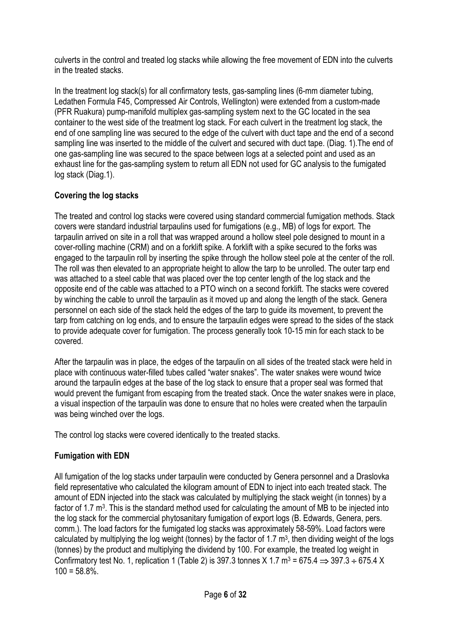culverts in the control and treated log stacks while allowing the free movement of EDN into the culverts in the treated stacks.

In the treatment log stack(s) for all confirmatory tests, gas-sampling lines (6-mm diameter tubing, Ledathen Formula F45, Compressed Air Controls, Wellington) were extended from a custom-made (PFR Ruakura) pump-manifold multiplex gas-sampling system next to the GC located in the sea container to the west side of the treatment log stack. For each culvert in the treatment log stack, the end of one sampling line was secured to the edge of the culvert with duct tape and the end of a second sampling line was inserted to the middle of the culvert and secured with duct tape. (Diag. 1).The end of one gas-sampling line was secured to the space between logs at a selected point and used as an exhaust line for the gas-sampling system to return all EDN not used for GC analysis to the fumigated log stack (Diag.1).

## Covering the log stacks

The treated and control log stacks were covered using standard commercial fumigation methods. Stack covers were standard industrial tarpaulins used for fumigations (e.g., MB) of logs for export. The tarpaulin arrived on site in a roll that was wrapped around a hollow steel pole designed to mount in a cover-rolling machine (CRM) and on a forklift spike. A forklift with a spike secured to the forks was engaged to the tarpaulin roll by inserting the spike through the hollow steel pole at the center of the roll. The roll was then elevated to an appropriate height to allow the tarp to be unrolled. The outer tarp end was attached to a steel cable that was placed over the top center length of the log stack and the opposite end of the cable was attached to a PTO winch on a second forklift. The stacks were covered by winching the cable to unroll the tarpaulin as it moved up and along the length of the stack. Genera personnel on each side of the stack held the edges of the tarp to guide its movement, to prevent the tarp from catching on log ends, and to ensure the tarpaulin edges were spread to the sides of the stack to provide adequate cover for fumigation. The process generally took 10-15 min for each stack to be covered.

After the tarpaulin was in place, the edges of the tarpaulin on all sides of the treated stack were held in place with continuous water-filled tubes called "water snakes". The water snakes were wound twice around the tarpaulin edges at the base of the log stack to ensure that a proper seal was formed that would prevent the fumigant from escaping from the treated stack. Once the water snakes were in place, a visual inspection of the tarpaulin was done to ensure that no holes were created when the tarpaulin was being winched over the logs.

The control log stacks were covered identically to the treated stacks.

### Fumigation with EDN

All fumigation of the log stacks under tarpaulin were conducted by Genera personnel and a Draslovka field representative who calculated the kilogram amount of EDN to inject into each treated stack. The amount of EDN injected into the stack was calculated by multiplying the stack weight (in tonnes) by a factor of 1.7 m<sup>3</sup>. This is the standard method used for calculating the amount of MB to be injected into the log stack for the commercial phytosanitary fumigation of export logs (B. Edwards, Genera, pers. comm.). The load factors for the fumigated log stacks was approximately 58-59%. Load factors were calculated by multiplying the log weight (tonnes) by the factor of 1.7  $m^3$ , then dividing weight of the logs (tonnes) by the product and multiplying the dividend by 100. For example, the treated log weight in Confirmatory test No. 1, replication 1 (Table 2) is 397.3 tonnes X 1.7 m<sup>3</sup> = 675.4  $\Rightarrow$  397.3  $\div$  675.4 X  $100 = 58.8\%$ .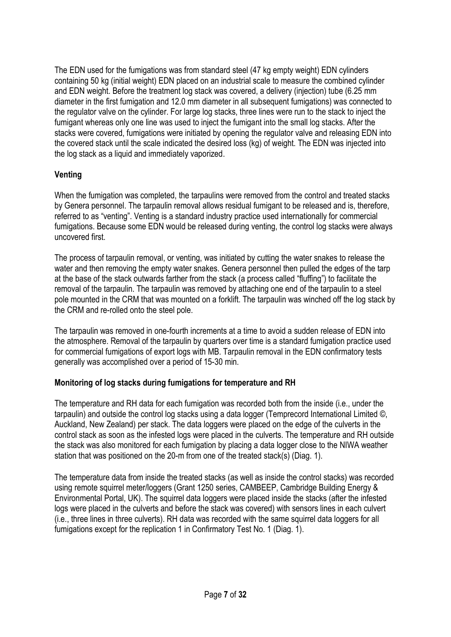The EDN used for the fumigations was from standard steel (47 kg empty weight) EDN cylinders containing 50 kg (initial weight) EDN placed on an industrial scale to measure the combined cylinder and EDN weight. Before the treatment log stack was covered, a delivery (injection) tube (6.25 mm diameter in the first fumigation and 12.0 mm diameter in all subsequent fumigations) was connected to the regulator valve on the cylinder. For large log stacks, three lines were run to the stack to inject the fumigant whereas only one line was used to inject the fumigant into the small log stacks. After the stacks were covered, fumigations were initiated by opening the regulator valve and releasing EDN into the covered stack until the scale indicated the desired loss (kg) of weight. The EDN was injected into the log stack as a liquid and immediately vaporized.

### Venting

When the fumigation was completed, the tarpaulins were removed from the control and treated stacks by Genera personnel. The tarpaulin removal allows residual fumigant to be released and is, therefore, referred to as "venting". Venting is a standard industry practice used internationally for commercial fumigations. Because some EDN would be released during venting, the control log stacks were always uncovered first.

The process of tarpaulin removal, or venting, was initiated by cutting the water snakes to release the water and then removing the empty water snakes. Genera personnel then pulled the edges of the tarp at the base of the stack outwards farther from the stack (a process called "fluffing") to facilitate the removal of the tarpaulin. The tarpaulin was removed by attaching one end of the tarpaulin to a steel pole mounted in the CRM that was mounted on a forklift. The tarpaulin was winched off the log stack by the CRM and re-rolled onto the steel pole.

The tarpaulin was removed in one-fourth increments at a time to avoid a sudden release of EDN into the atmosphere. Removal of the tarpaulin by quarters over time is a standard fumigation practice used for commercial fumigations of export logs with MB. Tarpaulin removal in the EDN confirmatory tests generally was accomplished over a period of 15-30 min.

### Monitoring of log stacks during fumigations for temperature and RH

The temperature and RH data for each fumigation was recorded both from the inside (i.e., under the tarpaulin) and outside the control log stacks using a data logger (Temprecord International Limited ©, Auckland, New Zealand) per stack. The data loggers were placed on the edge of the culverts in the control stack as soon as the infested logs were placed in the culverts. The temperature and RH outside the stack was also monitored for each fumigation by placing a data logger close to the NIWA weather station that was positioned on the 20-m from one of the treated stack(s) (Diag. 1).

The temperature data from inside the treated stacks (as well as inside the control stacks) was recorded using remote squirrel meter/loggers (Grant 1250 series, CAMBEEP, Cambridge Building Energy & Environmental Portal, UK). The squirrel data loggers were placed inside the stacks (after the infested logs were placed in the culverts and before the stack was covered) with sensors lines in each culvert (i.e., three lines in three culverts). RH data was recorded with the same squirrel data loggers for all fumigations except for the replication 1 in Confirmatory Test No. 1 (Diag. 1).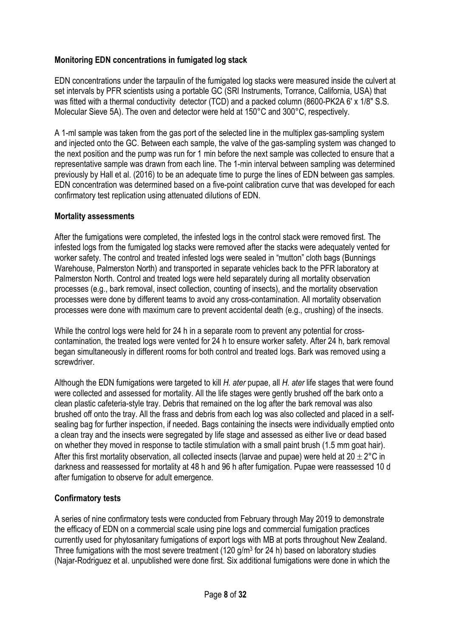## Monitoring EDN concentrations in fumigated log stack

EDN concentrations under the tarpaulin of the fumigated log stacks were measured inside the culvert at set intervals by PFR scientists using a portable GC (SRI Instruments, Torrance, California, USA) that was fitted with a thermal conductivity detector (TCD) and a packed column (8600-PK2A 6' x 1/8" S.S. Molecular Sieve 5A). The oven and detector were held at 150°C and 300°C, respectively.

A 1-ml sample was taken from the gas port of the selected line in the multiplex gas-sampling system and injected onto the GC. Between each sample, the valve of the gas-sampling system was changed to the next position and the pump was run for 1 min before the next sample was collected to ensure that a representative sample was drawn from each line. The 1-min interval between sampling was determined previously by Hall et al. (2016) to be an adequate time to purge the lines of EDN between gas samples. EDN concentration was determined based on a five-point calibration curve that was developed for each confirmatory test replication using attenuated dilutions of EDN.

#### Mortality assessments

After the fumigations were completed, the infested logs in the control stack were removed first. The infested logs from the fumigated log stacks were removed after the stacks were adequately vented for worker safety. The control and treated infested logs were sealed in "mutton" cloth bags (Bunnings Warehouse, Palmerston North) and transported in separate vehicles back to the PFR laboratory at Palmerston North. Control and treated logs were held separately during all mortality observation processes (e.g., bark removal, insect collection, counting of insects), and the mortality observation processes were done by different teams to avoid any cross-contamination. All mortality observation processes were done with maximum care to prevent accidental death (e.g., crushing) of the insects.

While the control logs were held for 24 h in a separate room to prevent any potential for crosscontamination, the treated logs were vented for 24 h to ensure worker safety. After 24 h, bark removal began simultaneously in different rooms for both control and treated logs. Bark was removed using a screwdriver.

Although the EDN fumigations were targeted to kill H. ater pupae, all H. ater life stages that were found were collected and assessed for mortality. All the life stages were gently brushed off the bark onto a clean plastic cafeteria-style tray. Debris that remained on the log after the bark removal was also brushed off onto the tray. All the frass and debris from each log was also collected and placed in a selfsealing bag for further inspection, if needed. Bags containing the insects were individually emptied onto a clean tray and the insects were segregated by life stage and assessed as either live or dead based on whether they moved in response to tactile stimulation with a small paint brush (1.5 mm goat hair). After this first mortality observation, all collected insects (larvae and pupae) were held at  $20 \pm 2^{\circ}$ C in darkness and reassessed for mortality at 48 h and 96 h after fumigation. Pupae were reassessed 10 d after fumigation to observe for adult emergence.

### Confirmatory tests

A series of nine confirmatory tests were conducted from February through May 2019 to demonstrate the efficacy of EDN on a commercial scale using pine logs and commercial fumigation practices currently used for phytosanitary fumigations of export logs with MB at ports throughout New Zealand. Three fumigations with the most severe treatment (120 g/m<sup>3</sup> for 24 h) based on laboratory studies (Najar-Rodriguez et al. unpublished were done first. Six additional fumigations were done in which the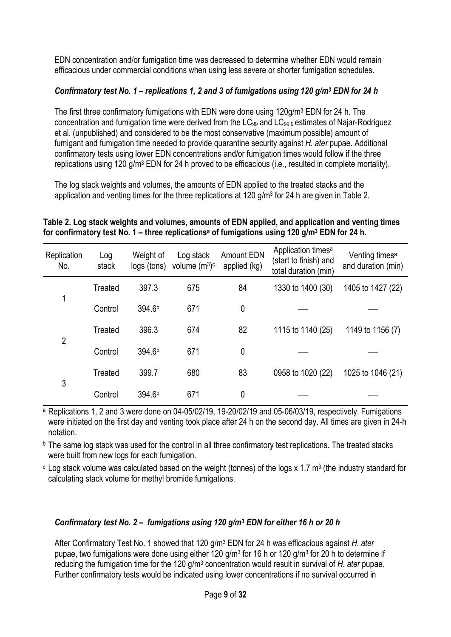EDN concentration and/or fumigation time was decreased to determine whether EDN would remain efficacious under commercial conditions when using less severe or shorter fumigation schedules.

## Confirmatory test No. 1 – replications 1, 2 and 3 of fumigations using 120 g/m<sup>3</sup> EDN for 24 h

The first three confirmatory fumigations with EDN were done using 120g/m<sup>3</sup> EDN for 24 h. The concentration and fumigation time were derived from the LC<sub>99</sub> and LC<sub>99.9</sub> estimates of Najar-Rodriguez et al. (unpublished) and considered to be the most conservative (maximum possible) amount of fumigant and fumigation time needed to provide quarantine security against H. ater pupae. Additional confirmatory tests using lower EDN concentrations and/or fumigation times would follow if the three replications using 120 g/m<sup>3</sup> EDN for 24 h proved to be efficacious (i.e., resulted in complete mortality).

The log stack weights and volumes, the amounts of EDN applied to the treated stacks and the application and venting times for the three replications at 120 g/m<sup>3</sup> for 24 h are given in Table 2.

#### Table 2. Log stack weights and volumes, amounts of EDN applied, and application and venting times for confirmatory test No. 1 – three replicationsª of fumigations using 120 g/m $^3$  EDN for 24 h.

| Replication<br>No. | Log<br>stack | Weight of<br>logs (tons) | Log stack<br>volume $(m^3)c$ | <b>Amount EDN</b><br>applied (kg) | Application times <sup>a</sup><br>(start to finish) and<br>total duration (min) | Venting times <sup>a</sup><br>and duration (min) |
|--------------------|--------------|--------------------------|------------------------------|-----------------------------------|---------------------------------------------------------------------------------|--------------------------------------------------|
|                    | Treated      | 397.3                    | 675                          | 84                                | 1330 to 1400 (30)                                                               | 1405 to 1427 (22)                                |
| 1                  | Control      | 394.6 <sup>b</sup>       | 671                          | 0                                 |                                                                                 |                                                  |
|                    | Treated      | 396.3                    | 674                          | 82                                | 1115 to 1140 (25)                                                               | 1149 to 1156 (7)                                 |
| $\overline{2}$     | Control      | 394.6 <sup>b</sup>       | 671                          | 0                                 |                                                                                 |                                                  |
|                    | Treated      | 399.7                    | 680                          | 83                                | 0958 to 1020 (22)                                                               | 1025 to 1046 (21)                                |
| 3                  | Control      | 394.6 <sup>b</sup>       | 671                          | 0                                 |                                                                                 |                                                  |

a Replications 1, 2 and 3 were done on 04-05/02/19, 19-20/02/19 and 05-06/03/19, respectively. Fumigations were initiated on the first day and venting took place after 24 h on the second day. All times are given in 24-h notation.

**b** The same log stack was used for the control in all three confirmatory test replications. The treated stacks were built from new logs for each fumigation.

 $\rm c$  Log stack volume was calculated based on the weight (tonnes) of the logs x 1.7 m<sup>3</sup> (the industry standard for calculating stack volume for methyl bromide fumigations.

### Confirmatory test No. 2 – fumigations using 120 g/m<sup>3</sup> EDN for either 16 h or 20 h

After Confirmatory Test No. 1 showed that 120 g/m<sup>3</sup> EDN for 24 h was efficacious against H. ater pupae, two fumigations were done using either 120 g/m<sup>3</sup> for 16 h or 120 g/m<sup>3</sup> for 20 h to determine if reducing the fumigation time for the 120  $g/m<sup>3</sup>$  concentration would result in survival of H. ater pupae. Further confirmatory tests would be indicated using lower concentrations if no survival occurred in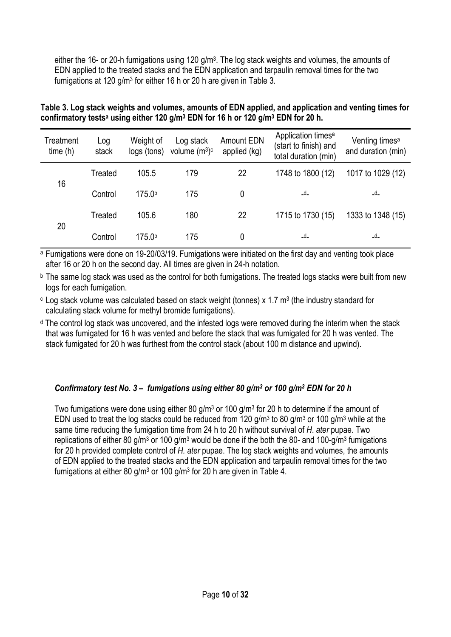either the 16- or 20-h fumigations using 120 g/m<sup>3</sup>. The log stack weights and volumes, the amounts of EDN applied to the treated stacks and the EDN application and tarpaulin removal times for the two fumigations at 120 g/m<sup>3</sup> for either 16 h or 20 h are given in Table 3.

| Table 3. Log stack weights and volumes, amounts of EDN applied, and application and venting times for                |  |
|----------------------------------------------------------------------------------------------------------------------|--|
| confirmatory tests <sup>a</sup> using either 120 g/m <sup>3</sup> EDN for 16 h or 120 g/m <sup>3</sup> EDN for 20 h. |  |

| Treatment<br>time(h) | Log<br>stack | Weight of<br>logs (tons) | Log stack<br>volume $(m^3)c$ | <b>Amount EDN</b><br>applied (kg) | Application times <sup>a</sup><br>(start to finish) and<br>total duration (min) | Venting times <sup>a</sup><br>and duration (min) |
|----------------------|--------------|--------------------------|------------------------------|-----------------------------------|---------------------------------------------------------------------------------|--------------------------------------------------|
|                      | Treated      | 105.5                    | 179                          | 22                                | 1748 to 1800 (12)                                                               | 1017 to 1029 (12)                                |
| 16                   | Control      | 175.0b                   | 175                          | 0                                 | $-d_-$                                                                          | _d_                                              |
|                      | Treated      | 105.6                    | 180                          | 22                                | 1715 to 1730 (15)                                                               | 1333 to 1348 (15)                                |
| 20                   | Control      | 175.0 <sup>b</sup>       | 175                          | 0                                 | $-d$                                                                            | _d_                                              |

a Fumigations were done on 19-20/03/19. Fumigations were initiated on the first day and venting took place after 16 or 20 h on the second day. All times are given in 24-h notation.

**b** The same log stack was used as the control for both fumigations. The treated logs stacks were built from new logs for each fumigation.

 $\textdegree$  Log stack volume was calculated based on stack weight (tonnes) x 1.7 m<sup>3</sup> (the industry standard for calculating stack volume for methyl bromide fumigations).

d The control log stack was uncovered, and the infested logs were removed during the interim when the stack that was fumigated for 16 h was vented and before the stack that was fumigated for 20 h was vented. The stack fumigated for 20 h was furthest from the control stack (about 100 m distance and upwind).

## Confirmatory test No. 3 – fumigations using either 80 g/m<sup>3</sup> or 100 g/m<sup>3</sup> EDN for 20 h

Two fumigations were done using either 80 g/m<sup>3</sup> or 100 g/m<sup>3</sup> for 20 h to determine if the amount of EDN used to treat the log stacks could be reduced from 120  $g/m^3$  to 80  $g/m^3$  or 100  $g/m^3$  while at the same time reducing the fumigation time from 24 h to 20 h without survival of H. ater pupae. Two replications of either 80 g/m<sup>3</sup> or 100 g/m<sup>3</sup> would be done if the both the 80- and 100-g/m<sup>3</sup> fumigations for 20 h provided complete control of H. ater pupae. The log stack weights and volumes, the amounts of EDN applied to the treated stacks and the EDN application and tarpaulin removal times for the two fumigations at either 80 g/m<sup>3</sup> or 100 g/m<sup>3</sup> for 20 h are given in Table 4.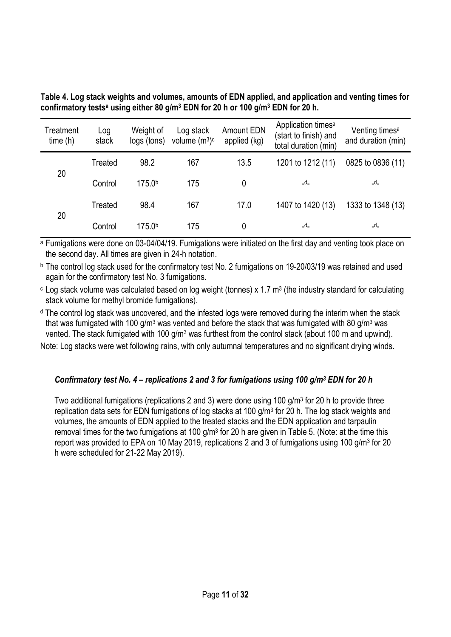| Treatment<br>time(h) | Log<br>stack | Weight of<br>logs (tons) | Log stack<br>volume $(m^3)c$ | Amount EDN<br>applied (kg) | Application times <sup>a</sup><br>(start to finish) and<br>total duration (min) | Venting times <sup>a</sup><br>and duration (min) |
|----------------------|--------------|--------------------------|------------------------------|----------------------------|---------------------------------------------------------------------------------|--------------------------------------------------|
|                      | Treated      | 98.2                     | 167                          | 13.5                       | 1201 to 1212 (11)                                                               | 0825 to 0836 (11)                                |
| 20                   | Control      | 175.0 <sup>b</sup>       | 175                          | 0                          | _d_                                                                             | $-d_{-}$                                         |
|                      | Treated      | 98.4                     | 167                          | 17.0                       | 1407 to 1420 (13)                                                               | 1333 to 1348 (13)                                |
| 20                   | Control      | 175.0b                   | 175                          | 0                          | _d_                                                                             | _d_                                              |

Table 4. Log stack weights and volumes, amounts of EDN applied, and application and venting times for confirmatory tests<sup>a</sup> using either 80 g/m<sup>3</sup> EDN for 20 h or 100 g/m<sup>3</sup> EDN for 20 h.

a Fumigations were done on 03-04/04/19. Fumigations were initiated on the first day and venting took place on the second day. All times are given in 24-h notation.

b The control log stack used for the confirmatory test No. 2 fumigations on 19-20/03/19 was retained and used again for the confirmatory test No. 3 fumigations.

 $\epsilon$  Log stack volume was calculated based on log weight (tonnes) x 1.7 m<sup>3</sup> (the industry standard for calculating stack volume for methyl bromide fumigations).

d The control log stack was uncovered, and the infested logs were removed during the interim when the stack that was fumigated with 100 g/m<sup>3</sup> was vented and before the stack that was fumigated with 80 g/m<sup>3</sup> was vented. The stack fumigated with 100 g/m<sup>3</sup> was furthest from the control stack (about 100 m and upwind).

Note: Log stacks were wet following rains, with only autumnal temperatures and no significant drying winds.

## Confirmatory test No. 4 – replications 2 and 3 for fumigations using 100 g/m<sup>3</sup> EDN for 20 h

Two additional fumigations (replications 2 and 3) were done using 100 g/m<sup>3</sup> for 20 h to provide three replication data sets for EDN fumigations of log stacks at 100 g/m<sup>3</sup> for 20 h. The log stack weights and volumes, the amounts of EDN applied to the treated stacks and the EDN application and tarpaulin removal times for the two fumigations at 100  $g/m^3$  for 20 h are given in Table 5. (Note: at the time this report was provided to EPA on 10 May 2019, replications 2 and 3 of fumigations using 100 g/m<sup>3</sup> for 20 h were scheduled for 21-22 May 2019).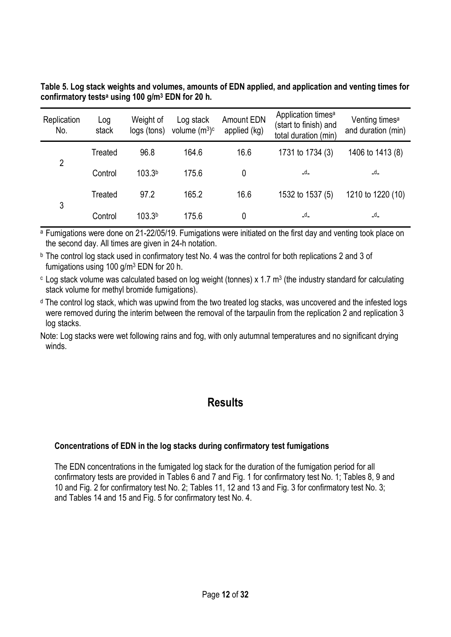| Replication<br>No. | Log<br>stack | Weight of<br>logs (tons) | Log stack<br>volume $(m^3)c$ | <b>Amount EDN</b><br>applied (kg) | Application times <sup>a</sup><br>(start to finish) and<br>total duration (min) | Venting times <sup>a</sup><br>and duration (min) |
|--------------------|--------------|--------------------------|------------------------------|-----------------------------------|---------------------------------------------------------------------------------|--------------------------------------------------|
|                    | Treated      | 96.8                     | 164.6                        | 16.6                              | 1731 to 1734 (3)                                                                | 1406 to 1413 (8)                                 |
| $\overline{2}$     | Control      | 103.3 <sup>b</sup>       | 175.6                        | 0                                 | $-d_-$                                                                          | $-d$                                             |
|                    | Treated      | 97.2                     | 165.2                        | 16.6                              | 1532 to 1537 (5)                                                                | 1210 to 1220 (10)                                |
| 3                  | Control      | 103.3 <sup>b</sup>       | 175.6                        |                                   | _d_                                                                             | _d_                                              |

Table 5. Log stack weights and volumes, amounts of EDN applied, and application and venting times for confirmatory tests<sup>a</sup> using 100 g/m<sup>3</sup> EDN for 20 h.

a Fumigations were done on 21-22/05/19. Fumigations were initiated on the first day and venting took place on the second day. All times are given in 24-h notation.

b The control log stack used in confirmatory test No. 4 was the control for both replications 2 and 3 of fumigations using 100 g/m<sup>3</sup> EDN for 20 h.

 $\epsilon$  Log stack volume was calculated based on log weight (tonnes) x 1.7 m<sup>3</sup> (the industry standard for calculating stack volume for methyl bromide fumigations).

d The control log stack, which was upwind from the two treated log stacks, was uncovered and the infested logs were removed during the interim between the removal of the tarpaulin from the replication 2 and replication 3 log stacks.

Note: Log stacks were wet following rains and fog, with only autumnal temperatures and no significant drying winds.

# **Results**

## Concentrations of EDN in the log stacks during confirmatory test fumigations

The EDN concentrations in the fumigated log stack for the duration of the fumigation period for all confirmatory tests are provided in Tables 6 and 7 and Fig. 1 for confirmatory test No. 1; Tables 8, 9 and 10 and Fig. 2 for confirmatory test No. 2; Tables 11, 12 and 13 and Fig. 3 for confirmatory test No. 3; and Tables 14 and 15 and Fig. 5 for confirmatory test No. 4.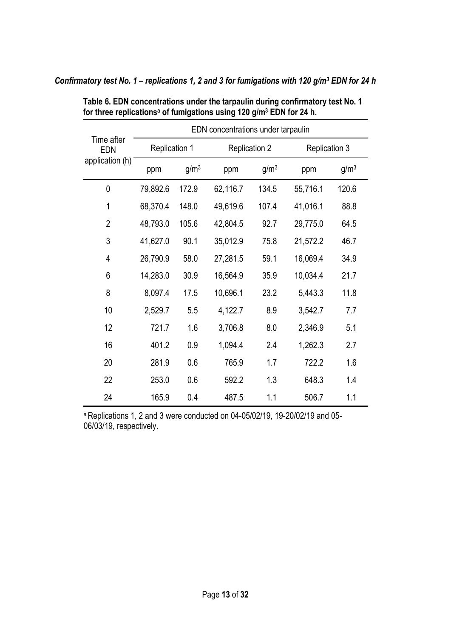|                   | EDN concentrations under tarpaulin |                  |                      |                  |                      |                  |  |
|-------------------|------------------------------------|------------------|----------------------|------------------|----------------------|------------------|--|
| Time after<br>EDN | <b>Replication 1</b>               |                  | <b>Replication 2</b> |                  | <b>Replication 3</b> |                  |  |
| application (h)   | ppm                                | g/m <sup>3</sup> | ppm                  | g/m <sup>3</sup> | ppm                  | g/m <sup>3</sup> |  |
| 0                 | 79,892.6                           | 172.9            | 62,116.7             | 134.5            | 55,716.1             | 120.6            |  |
| $\mathbf{1}$      | 68,370.4                           | 148.0            | 49,619.6             | 107.4            | 41,016.1             | 88.8             |  |
| $\overline{2}$    | 48,793.0                           | 105.6            | 42,804.5             | 92.7             | 29,775.0             | 64.5             |  |
| 3                 | 41,627.0                           | 90.1             | 35,012.9             | 75.8             | 21,572.2             | 46.7             |  |
| 4                 | 26,790.9                           | 58.0             | 27,281.5             | 59.1             | 16,069.4             | 34.9             |  |
| 6                 | 14,283.0                           | 30.9             | 16,564.9             | 35.9             | 10,034.4             | 21.7             |  |
| 8                 | 8,097.4                            | 17.5             | 10,696.1             | 23.2             | 5,443.3              | 11.8             |  |
| 10                | 2,529.7                            | 5.5              | 4,122.7              | 8.9              | 3,542.7              | 7.7              |  |
| 12                | 721.7                              | 1.6              | 3,706.8              | 8.0              | 2,346.9              | 5.1              |  |
| 16                | 401.2                              | 0.9              | 1,094.4              | 2.4              | 1,262.3              | 2.7              |  |
| 20                | 281.9                              | 0.6              | 765.9                | 1.7              | 722.2                | 1.6              |  |
| 22                | 253.0                              | 0.6              | 592.2                | 1.3              | 648.3                | 1.4              |  |
| 24                | 165.9                              | 0.4              | 487.5                | 1.1              | 506.7                | 1.1              |  |

Confirmatory test No. 1 – replications 1, 2 and 3 for fumigations with 120 g/m<sup>3</sup> EDN for 24 h

for three replications<sup>a</sup> of fumigations using 120 g/m<sup>3</sup> EDN for 24 h.

Table 6. EDN concentrations under the tarpaulin during confirmatory test No. 1

a Replications 1, 2 and 3 were conducted on 04-05/02/19, 19-20/02/19 and 05-06/03/19, respectively.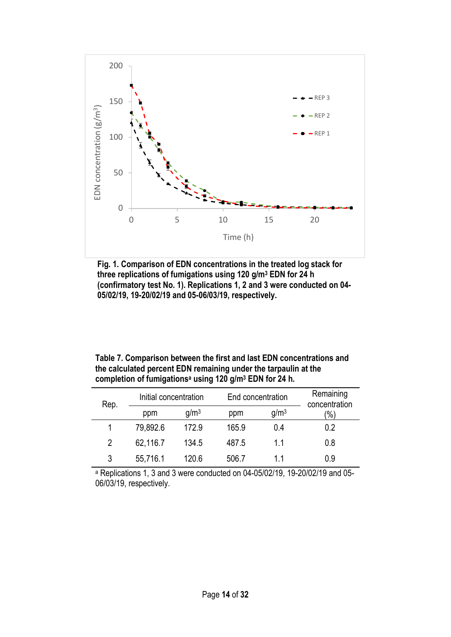

Fig. 1. Comparison of EDN concentrations in the treated log stack for three replications of fumigations using 120 g/m<sup>3</sup> EDN for 24 h (confirmatory test No. 1). Replications 1, 2 and 3 were conducted on 04- 05/02/19, 19-20/02/19 and 05-06/03/19, respectively.

| Table 7. Comparison between the first and last EDN concentrations and           |
|---------------------------------------------------------------------------------|
| the calculated percent EDN remaining under the tarpaulin at the                 |
| completion of fumigations <sup>a</sup> using 120 g/m <sup>3</sup> EDN for 24 h. |

| Rep.          | End concentration<br>Initial concentration |                  |       | Remaining<br>concentration |               |
|---------------|--------------------------------------------|------------------|-------|----------------------------|---------------|
|               | ppm                                        | q/m <sup>3</sup> | ppm   | g/m <sup>3</sup>           | $\frac{1}{2}$ |
|               | 79,892.6                                   | 172.9            | 165.9 | 0.4                        | 0.2           |
| $\mathcal{P}$ | 62,116.7                                   | 134.5            | 487.5 | 11                         | 0.8           |
| 3             | 55,716.1                                   | 120.6            | 506.7 | 11                         | 0.9           |

a Replications 1, 3 and 3 were conducted on 04-05/02/19, 19-20/02/19 and 05- 06/03/19, respectively.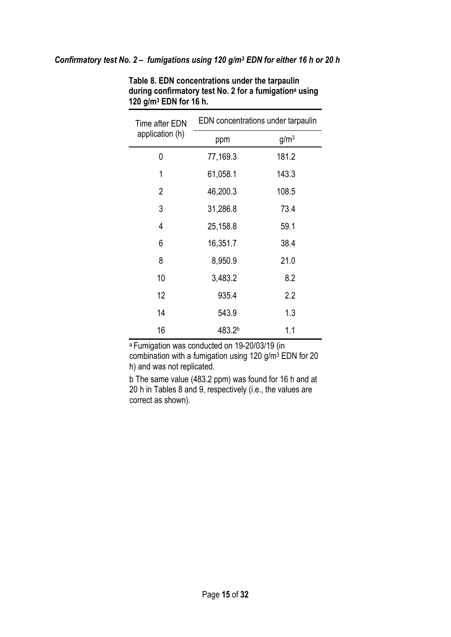#### Confirmatory test No. 2 - fumigations using 120 g/m<sup>3</sup> EDN for either 16 h or 20 h

| Time after EDN  | EDN concentrations under tarpaulin |                  |  |
|-----------------|------------------------------------|------------------|--|
| application (h) | ppm                                | g/m <sup>3</sup> |  |
| 0               | 77,169.3                           | 181.2            |  |
| 1               | 61,058.1                           | 143.3            |  |
| 2               | 46,200.3                           | 108.5            |  |
| 3               | 31,286.8                           | 73.4             |  |
| 4               | 25,158.8                           | 59.1             |  |
| 6               | 16,351.7                           | 38.4             |  |
| 8               | 8,950.9                            | 21.0             |  |
| 10              | 3,483.2                            | 8.2              |  |
| 12              | 935.4                              | 2.2              |  |
| 14              | 543.9                              | 1.3              |  |
| 16              | 483.2b                             | 1.1              |  |

Table 8. EDN concentrations under the tarpaulin during confirmatory test No. 2 for a fumigation<sup>a</sup> using 120 g/m<sup>3</sup> EDN for 16 h.

<sup>a</sup>Fumigation was conducted on 19-20/03/19 (in combination with a fumigation using 120 g/m<sup>3</sup> EDN for 20 h) and was not replicated.

b The same value (483.2 ppm) was found for 16 h and at 20 h in Tables 8 and 9, respectively (i.e., the values are correct as shown).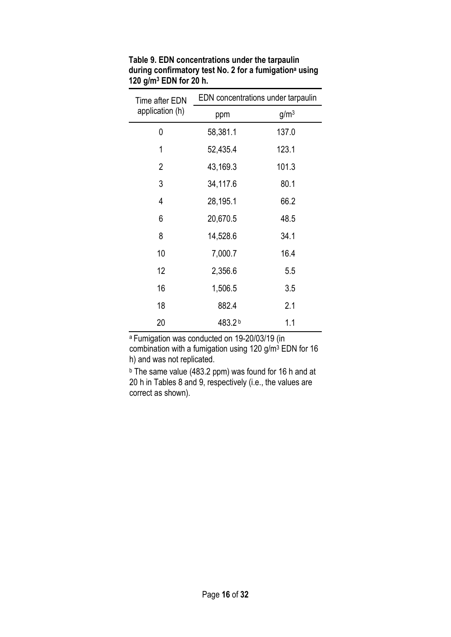| Time after EDN  | EDN concentrations under tarpaulin |                  |  |  |
|-----------------|------------------------------------|------------------|--|--|
| application (h) | ppm                                | g/m <sup>3</sup> |  |  |
| 0               | 58,381.1                           | 137.0            |  |  |
| 1               | 52,435.4                           | 123.1            |  |  |
| $\overline{2}$  | 43,169.3                           | 101.3            |  |  |
| 3               | 34,117.6                           | 80.1             |  |  |
| $\overline{4}$  | 28,195.1                           | 66.2             |  |  |
| 6               | 20,670.5                           | 48.5             |  |  |
| 8               | 14,528.6                           | 34.1             |  |  |
| 10              | 7,000.7                            | 16.4             |  |  |
| 12              | 2,356.6                            | 5.5              |  |  |
| 16              | 1,506.5                            | 3.5              |  |  |
| 18              | 882.4                              | 2.1              |  |  |
| 20              | 483.2b                             | 1.1              |  |  |

Table 9. EDN concentrations under the tarpaulin during confirmatory test No. 2 for a fumigation<sup>a</sup> using 120 g/m<sup>3</sup> EDN for 20 h.

<sup>a</sup>Fumigation was conducted on 19-20/03/19 (in combination with a fumigation using 120 g/m<sup>3</sup> EDN for 16 h) and was not replicated.

b The same value (483.2 ppm) was found for 16 h and at 20 h in Tables 8 and 9, respectively (i.e., the values are correct as shown).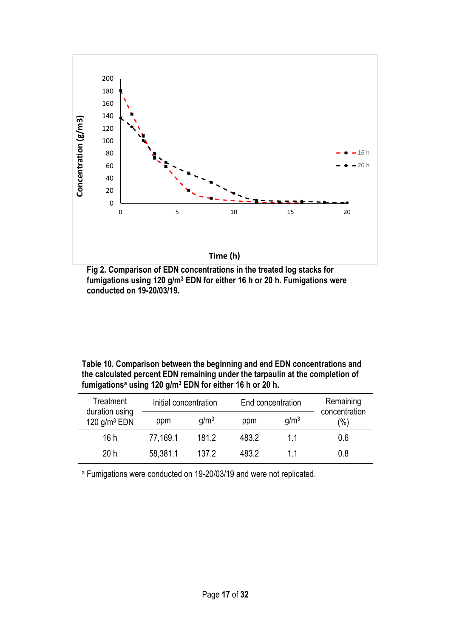

Fig 2. Comparison of EDN concentrations in the treated log stacks for fumigations using 120 g/m<sup>3</sup> EDN for either 16 h or 20 h. Fumigations were conducted on 19-20/03/19.

| Table 10. Comparison between the beginning and end EDN concentrations and     |
|-------------------------------------------------------------------------------|
| the calculated percent EDN remaining under the tarpaulin at the completion of |
| fumigations <sup>a</sup> using 120 $g/m3$ EDN for either 16 h or 20 h.        |

| Treatment<br>duration using<br>120 $g/m3$ EDN |          | Initial concentration |       | End concentration | Remaining<br>concentration |
|-----------------------------------------------|----------|-----------------------|-------|-------------------|----------------------------|
|                                               | ppm      | q/m <sup>3</sup>      | ppm   | q/m <sup>3</sup>  | $\frac{(0)}{0}$            |
| 16h                                           | 77,169.1 | 181.2                 | 483.2 | 11                | 0.6                        |
| 20h                                           | 58,381.1 | 137.2                 | 483.2 | 11                | 0.8                        |

a Fumigations were conducted on 19-20/03/19 and were not replicated.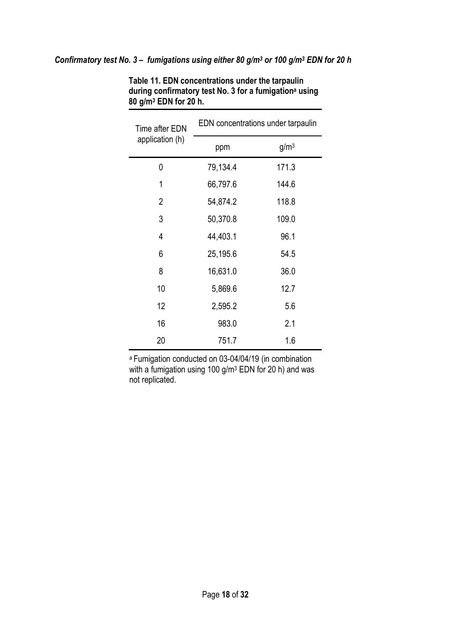| Time after EDN  | EDN concentrations under tarpaulin |                  |  |  |  |
|-----------------|------------------------------------|------------------|--|--|--|
| application (h) | ppm                                | g/m <sup>3</sup> |  |  |  |
| 0               | 79,134.4                           | 171.3            |  |  |  |
| 1               | 66,797.6                           | 144.6            |  |  |  |
| $\overline{2}$  | 54,874.2                           | 118.8            |  |  |  |
| 3               | 50,370.8                           | 109.0            |  |  |  |
| $\overline{4}$  | 44,403.1                           | 96.1             |  |  |  |
| 6               | 25,195.6                           | 54.5             |  |  |  |
| 8               | 16,631.0                           | 36.0             |  |  |  |
| 10              | 5,869.6                            | 12.7             |  |  |  |
| 12              | 2,595.2                            | 5.6              |  |  |  |
| 16              | 983.0                              | 2.1              |  |  |  |
| 20              | 751.7                              | 1.6              |  |  |  |

Table 11. EDN concentrations under the tarpaulin during confirmatory test No. 3 for a fumigation<sup>a</sup> using 80 g/m<sup>3</sup> EDN for 20 h.

<sup>a</sup>Fumigation conducted on 03-04/04/19 (in combination with a fumigation using 100  $g/m^3$  EDN for 20 h) and was not replicated.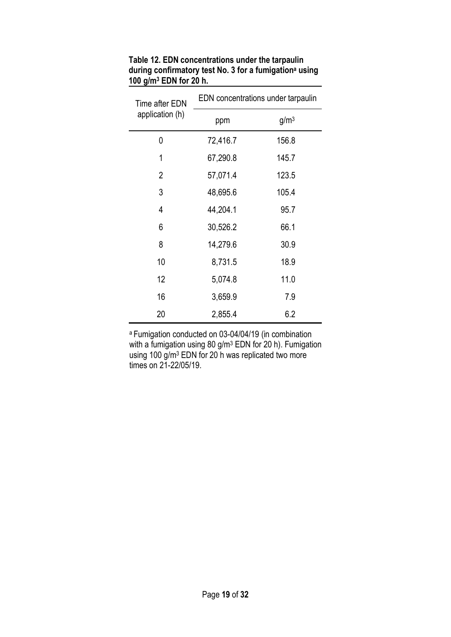| Time after EDN  | EDN concentrations under tarpaulin |                  |  |  |  |
|-----------------|------------------------------------|------------------|--|--|--|
| application (h) | ppm                                | g/m <sup>3</sup> |  |  |  |
| 0               | 72,416.7                           | 156.8            |  |  |  |
| 1               | 67,290.8                           | 145.7            |  |  |  |
| $\overline{2}$  | 57,071.4                           | 123.5            |  |  |  |
| 3               | 48,695.6                           | 105.4            |  |  |  |
| 4               | 44,204.1                           | 95.7             |  |  |  |
| 6               | 30,526.2                           | 66.1             |  |  |  |
| 8               | 14,279.6                           | 30.9             |  |  |  |
| 10              | 8,731.5                            | 18.9             |  |  |  |
| 12              | 5,074.8                            | 11.0             |  |  |  |
| 16              | 3,659.9                            | 7.9              |  |  |  |
| 20              | 2,855.4                            | 6.2              |  |  |  |

Table 12. EDN concentrations under the tarpaulin during confirmatory test No. 3 for a fumigation<sup>a</sup> using 100 g/m<sup>3</sup> EDN for 20 h.

<sup>a</sup>Fumigation conducted on 03-04/04/19 (in combination with a fumigation using 80 g/m<sup>3</sup> EDN for 20 h). Fumigation using 100 g/m<sup>3</sup> EDN for 20 h was replicated two more times on 21-22/05/19.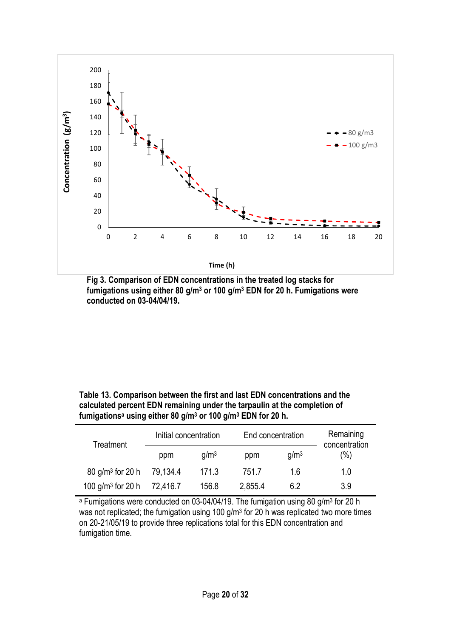

Fig 3. Comparison of EDN concentrations in the treated log stacks for fumigations using either 80 g/m<sup>3</sup> or 100 g/m<sup>3</sup> EDN for 20 h. Fumigations were conducted on 03-04/04/19.

| Table 13. Comparison between the first and last EDN concentrations and the                      |
|-------------------------------------------------------------------------------------------------|
| calculated percent EDN remaining under the tarpaulin at the completion of                       |
| fumigations <sup>a</sup> using either 80 g/m <sup>3</sup> or 100 g/m <sup>3</sup> EDN for 20 h. |

| Treatment                      | Initial concentration |                  | End concentration |                  | Remaining<br>concentration |
|--------------------------------|-----------------------|------------------|-------------------|------------------|----------------------------|
|                                | ppm                   | q/m <sup>3</sup> | ppm               | g/m <sup>3</sup> | (%)                        |
| $80$ g/m <sup>3</sup> for 20 h | 79,134.4              | 171.3            | 751.7             | 16               | 1.0                        |
| 100 $q/m^3$ for 20 h           | 72,416.7              | 156.8            | 2,855.4           | 62               | 3.9                        |

<sup>a</sup> Fumigations were conducted on 03-04/04/19. The fumigation using 80 g/m<sup>3</sup> for 20 h was not replicated; the fumigation using 100 g/m<sup>3</sup> for 20 h was replicated two more times on 20-21/05/19 to provide three replications total for this EDN concentration and fumigation time.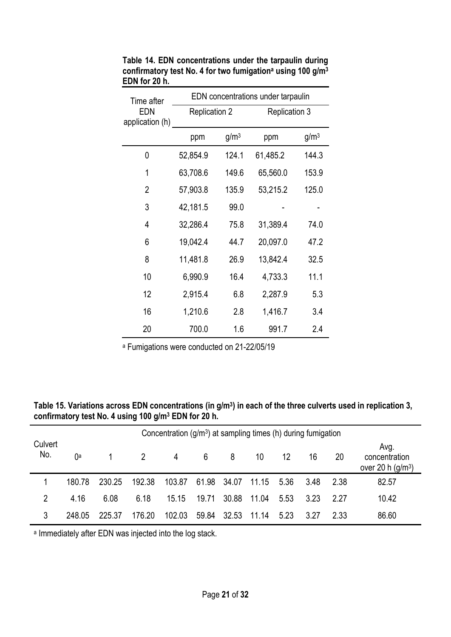| Time after             | EDN concentrations under tarpaulin |                  |                      |                  |  |  |
|------------------------|------------------------------------|------------------|----------------------|------------------|--|--|
| EDN<br>application (h) | <b>Replication 2</b>               |                  | <b>Replication 3</b> |                  |  |  |
|                        | ppm                                | g/m <sup>3</sup> | ppm                  | g/m <sup>3</sup> |  |  |
| 0                      | 52,854.9                           | 124.1            | 61,485.2             | 144.3            |  |  |
| 1                      | 63,708.6                           | 149.6            | 65,560.0             | 153.9            |  |  |
| $\overline{2}$         | 57,903.8                           | 135.9            | 53,215.2             | 125.0            |  |  |
| 3                      | 42,181.5                           | 99.0             |                      |                  |  |  |
| 4                      | 32,286.4                           | 75.8             | 31,389.4             | 74.0             |  |  |
| 6                      | 19,042.4                           | 44.7             | 20,097.0             | 47.2             |  |  |
| 8                      | 11,481.8                           | 26.9             | 13,842.4             | 32.5             |  |  |
| 10                     | 6,990.9                            | 16.4             | 4,733.3              | 11.1             |  |  |
| 12                     | 2,915.4                            | 6.8              | 2,287.9              | 5.3              |  |  |
| 16                     | 1,210.6                            | 2.8              | 1,416.7              | 3.4              |  |  |
| 20                     | 700.0                              | 1.6              | 991.7                | 2.4              |  |  |

Table 14. EDN concentrations under the tarpaulin during confirmatory test No. 4 for two fumigation<sup>a</sup> using 100 g/m<sup>3</sup> EDN for 20 h.

a Fumigations were conducted on 21-22/05/19

Table 15. Variations across EDN concentrations (in  $g/m<sup>3</sup>$ ) in each of the three culverts used in replication 3, confirmatory test No. 4 using 100 g/m<sup>3</sup> EDN for 20 h.

| Concentration $(g/m3)$ at sampling times (h) during fumigation |        |        |        |                |       |             |       |      |      |      |                                             |
|----------------------------------------------------------------|--------|--------|--------|----------------|-------|-------------|-------|------|------|------|---------------------------------------------|
| Culvert<br>No.                                                 | ()a    |        | 2      | $\overline{4}$ | 6     | 8           | 10    | 12   | 16   | 20   | Avg.<br>concentration<br>over 20 h $(g/m3)$ |
|                                                                | 180.78 | 230.25 | 192.38 | 103.87         |       | 61.98 34.07 | 11.15 | 5.36 | 3.48 | 2.38 | 82.57                                       |
| 2                                                              | 4.16   | 6.08   | 6.18   | 15.15          | 19.71 | 30.88       | 11.04 | 5.53 | 3.23 | 227  | 10.42                                       |
| 3                                                              | 248.05 | 225.37 | 176.20 | 102.03         | 59.84 | 32.53       | 11.14 | 5.23 | 3.27 | 2.33 | 86.60                                       |

a Immediately after EDN was injected into the log stack.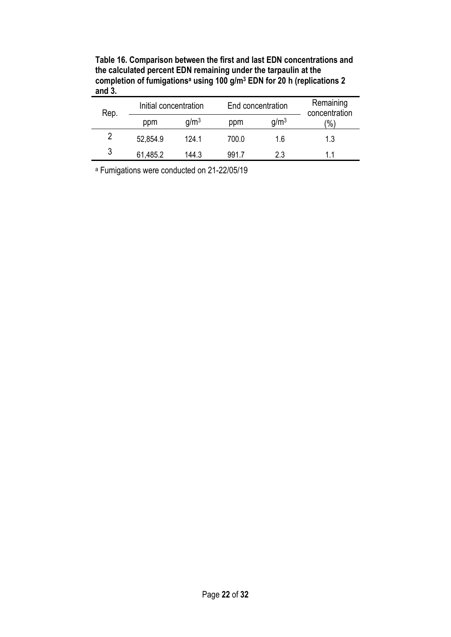Table 16. Comparison between the first and last EDN concentrations and the calculated percent EDN remaining under the tarpaulin at the completion of fumigations<sup>a</sup> using 100 g/m<sup>3</sup> EDN for 20 h (replications 2 and  $3.$ 

| Rep. |          | Initial concentration |       | End concentration | Remaining<br>concentration |
|------|----------|-----------------------|-------|-------------------|----------------------------|
|      | ppm      | q/m <sup>3</sup>      | ppm   | q/m <sup>3</sup>  | $\frac{1}{2}$              |
| 2    | 52,854.9 | 124 1                 | 700.0 | 1.6               | 1.3                        |
| 3    | 61,485.2 | 144.3                 | 9917  | 2.3               | 11                         |

a Fumigations were conducted on 21-22/05/19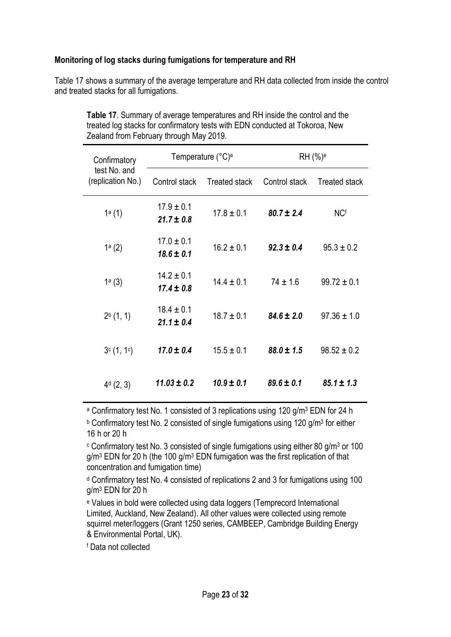#### Monitoring of log stacks during fumigations for temperature and RH

Table 17 shows a summary of the average temperature and RH data collected from inside the control and treated stacks for all fumigations.

| Confirmatory                      |                                  | Temperature (°C) <sup>e</sup> | RH (%) <sup>e</sup> |                      |  |
|-----------------------------------|----------------------------------|-------------------------------|---------------------|----------------------|--|
| test No. and<br>(replication No.) | Control stack                    | <b>Treated stack</b>          | Control stack       | <b>Treated stack</b> |  |
| 1a(1)                             | $17.9 \pm 0.1$<br>$21.7 \pm 0.8$ | $17.8 \pm 0.1$                | $80.7 \pm 2.4$      | <b>NCf</b>           |  |
| 1a(2)                             | $17.0 \pm 0.1$<br>$18.6 \pm 0.1$ | $16.2 \pm 0.1$                | $92.3 \pm 0.4$      | $95.3 \pm 0.2$       |  |
| 1a(3)                             | $14.2 \pm 0.1$<br>$17.4 \pm 0.8$ | $14.4 \pm 0.1$                | $74 \pm 1.6$        | $99.72 \pm 0.1$      |  |
| $2^{b}$ (1, 1)                    | $18.4 \pm 0.1$<br>$21.1 \pm 0.4$ | $18.7 \pm 0.1$                | $84.6 \pm 2.0$      | $97.36 \pm 1.0$      |  |
| 3c(1, 1c)                         | $17.0 \pm 0.4$                   | $15.5 \pm 0.1$                | $88.0 \pm 1.5$      | $98.52 \pm 0.2$      |  |
| $4d$ (2, 3)                       | $11.03 \pm 0.2$                  | $10.9 \pm 0.1$                | $89.6 \pm 0.1$      | $85.1 \pm 1.3$       |  |

Table 17. Summary of average temperatures and RH inside the control and the treated log stacks for confirmatory tests with EDN conducted at Tokoroa, New Zealand from February through May 2019.

<sup>a</sup> Confirmatory test No. 1 consisted of 3 replications using 120 g/m<sup>3</sup> EDN for 24 h

**b Confirmatory test No. 2 consisted of single fumigations using 120 g/m<sup>3</sup> for either** 16 h or 20 h

<sup>c</sup> Confirmatory test No. 3 consisted of single fumigations using either 80 g/m<sup>3</sup> or 100 g/m<sup>3</sup> EDN for 20 h (the 100 g/m<sup>3</sup> EDN fumigation was the first replication of that concentration and fumigation time)

d Confirmatory test No. 4 consisted of replications 2 and 3 for fumigations using 100 g/m<sup>3</sup> EDN for 20 h

e Values in bold were collected using data loggers (Temprecord International Limited, Auckland, New Zealand). All other values were collected using remote squirrel meter/loggers (Grant 1250 series, CAMBEEP, Cambridge Building Energy & Environmental Portal, UK).

f Data not collected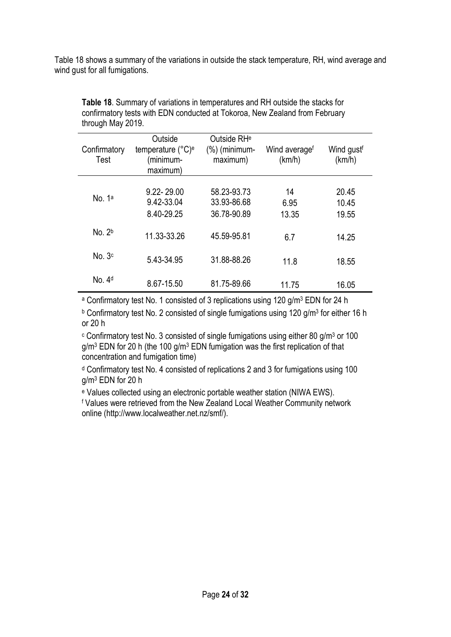Table 18 shows a summary of the variations in outside the stack temperature, RH, wind average and wind gust for all fumigations.

| Confirmatory<br>Test | Outside<br>temperature (°C) <sup>e</sup><br>minimum-)<br>maximum) | Outside RH <sup>e</sup><br>$(\%)$ (minimum-<br>maximum) | Wind average <sup>f</sup><br>(km/h) | Wind gustf<br>(km/h)    |
|----------------------|-------------------------------------------------------------------|---------------------------------------------------------|-------------------------------------|-------------------------|
| No. $1a$             | 9.22-29.00<br>9.42-33.04<br>8.40-29.25                            | 58.23-93.73<br>33.93-86.68<br>36.78-90.89               | 14<br>6.95<br>13.35                 | 20.45<br>10.45<br>19.55 |
| No. 2 <sup>b</sup>   | 11.33-33.26                                                       | 45.59-95.81                                             | 6.7                                 | 14.25                   |
| No. 3 <sup>c</sup>   | 5.43-34.95                                                        | 31.88-88.26                                             | 11.8                                | 18.55                   |
| No. 4 <sup>d</sup>   | 8.67-15.50                                                        | 81.75-89.66                                             | 11.75                               | 16.05                   |

Table 18. Summary of variations in temperatures and RH outside the stacks for confirmatory tests with EDN conducted at Tokoroa, New Zealand from February through May 2019.

<sup>a</sup> Confirmatory test No. 1 consisted of 3 replications using 120 g/m<sup>3</sup> EDN for 24 h

**b Confirmatory test No. 2 consisted of single fumigations using 120 g/m<sup>3</sup> for either 16 h** or 20 h

<sup>c</sup> Confirmatory test No. 3 consisted of single fumigations using either 80 g/m<sup>3</sup> or 100 g/m<sup>3</sup> EDN for 20 h (the 100 g/m<sup>3</sup> EDN fumigation was the first replication of that concentration and fumigation time)

d Confirmatory test No. 4 consisted of replications 2 and 3 for fumigations using 100 g/m<sup>3</sup> EDN for 20 h

e Values collected using an electronic portable weather station (NIWA EWS).

f Values were retrieved from the New Zealand Local Weather Community network online (http://www.localweather.net.nz/smf/).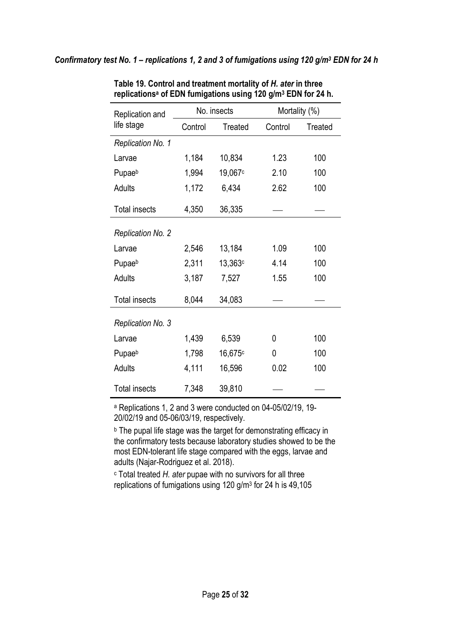| Replication and          |         | No. insects |         | Mortality (%)  |  |  |
|--------------------------|---------|-------------|---------|----------------|--|--|
| life stage               | Control | Treated     | Control | <b>Treated</b> |  |  |
| Replication No. 1        |         |             |         |                |  |  |
| Larvae                   | 1,184   | 10,834      | 1.23    | 100            |  |  |
| Pupaeb                   | 1,994   | 19,067c     | 2.10    | 100            |  |  |
| <b>Adults</b>            | 1,172   | 6,434       | 2.62    | 100            |  |  |
| <b>Total insects</b>     | 4,350   | 36,335      |         |                |  |  |
| <b>Replication No. 2</b> |         |             |         |                |  |  |
| Larvae                   | 2,546   | 13,184      | 1.09    | 100            |  |  |
| Pupaeb                   | 2,311   | 13,363c     | 4.14    | 100            |  |  |
| <b>Adults</b>            | 3,187   | 7,527       | 1.55    | 100            |  |  |
| <b>Total insects</b>     | 8,044   | 34,083      |         |                |  |  |
| Replication No. 3        |         |             |         |                |  |  |
| Larvae                   | 1,439   | 6,539       | 0       | 100            |  |  |
| Pupaeb                   | 1,798   | 16,675c     | 0       | 100            |  |  |
| <b>Adults</b>            | 4,111   | 16,596      | 0.02    | 100            |  |  |
| <b>Total insects</b>     | 7,348   | 39,810      |         |                |  |  |

Table 19. Control and treatment mortality of H. ater in three replications<sup>a</sup> of EDN fumigations using 120 g/m<sup>3</sup> EDN for 24 h.

a Replications 1, 2 and 3 were conducted on 04-05/02/19, 19- 20/02/19 and 05-06/03/19, respectively.

**b** The pupal life stage was the target for demonstrating efficacy in the confirmatory tests because laboratory studies showed to be the most EDN-tolerant life stage compared with the eggs, larvae and adults (Najar-Rodriguez et al. 2018).

c Total treated H. ater pupae with no survivors for all three replications of fumigations using 120 g/m<sup>3</sup> for 24 h is 49,105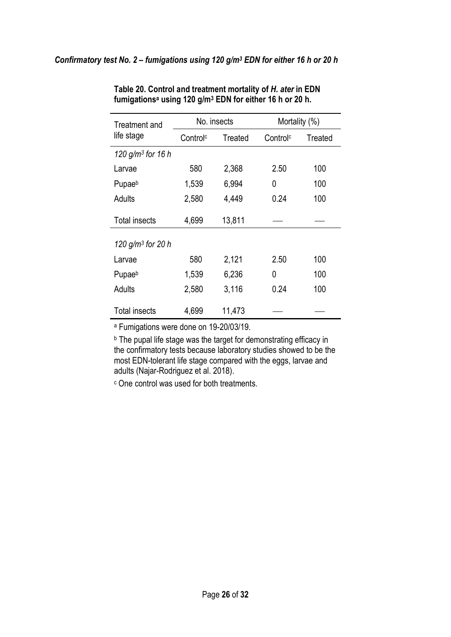| Treatment and        |                                 | No. insects | Mortality (%)        |         |  |
|----------------------|---------------------------------|-------------|----------------------|---------|--|
| life stage           | Control <sup>c</sup><br>Treated |             | Control <sup>c</sup> | Treated |  |
| 120 $g/m^3$ for 16 h |                                 |             |                      |         |  |
| Larvae               | 580                             | 2,368       | 2.50                 | 100     |  |
| Pupaeb               | 1,539                           | 6,994       | 0                    | 100     |  |
| Adults               | 2,580                           | 4,449       | 0.24                 | 100     |  |
| <b>Total insects</b> | 4,699                           | 13,811      |                      |         |  |
| 120 $g/m^3$ for 20 h |                                 |             |                      |         |  |
| Larvae               | 580                             | 2,121       | 2.50                 | 100     |  |
| Pupaeb               | 1,539                           | 6,236       | 0                    | 100     |  |
| Adults               | 2,580                           | 3,116       | 0.24                 | 100     |  |
| <b>Total insects</b> | 4,699                           | 11,473      |                      |         |  |

Table 20. Control and treatment mortality of H. ater in EDN fumigations<sup>a</sup> using 120 g/m<sup>3</sup> EDN for either 16 h or 20 h.

a Fumigations were done on 19-20/03/19.

**b** The pupal life stage was the target for demonstrating efficacy in the confirmatory tests because laboratory studies showed to be the most EDN-tolerant life stage compared with the eggs, larvae and adults (Najar-Rodriguez et al. 2018).

c One control was used for both treatments.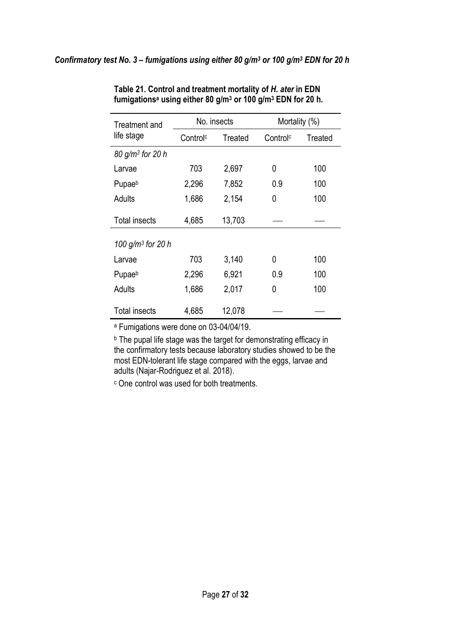| Treatment and<br>life stage | No. insects          |         | Mortality (%)        |         |
|-----------------------------|----------------------|---------|----------------------|---------|
|                             | Control <sup>c</sup> | Treated | Control <sup>c</sup> | Treated |
| $80 g/m3$ for 20 h          |                      |         |                      |         |
| Larvae                      | 703                  | 2,697   | 0                    | 100     |
| Pupaeb                      | 2,296                | 7,852   | 0.9                  | 100     |
| Adults                      | 1,686                | 2,154   | 0                    | 100     |
| <b>Total insects</b>        | 4,685                | 13,703  |                      |         |
| 100 $g/m^3$ for 20 h        |                      |         |                      |         |
| Larvae                      | 703                  | 3,140   | 0                    | 100     |
| Pupaeb                      | 2,296                | 6,921   | 0.9                  | 100     |
| Adults                      | 1,686                | 2,017   | 0                    | 100     |
| <b>Total insects</b>        | 4,685                | 12,078  |                      |         |

Table 21. Control and treatment mortality of H. ater in EDN fumigationsª using either 80 g/m<sup>3</sup> or 100 g/m<sup>3</sup> EDN for 20 h.

a Fumigations were done on 03-04/04/19.

**b** The pupal life stage was the target for demonstrating efficacy in the confirmatory tests because laboratory studies showed to be the most EDN-tolerant life stage compared with the eggs, larvae and adults (Najar-Rodriguez et al. 2018).

c One control was used for both treatments.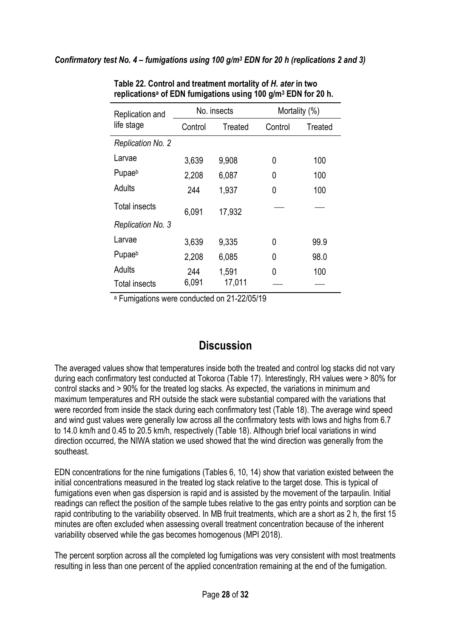| Replication and<br>life stage | No. insects |         | Mortality (%) |         |
|-------------------------------|-------------|---------|---------------|---------|
|                               | Control     | Treated | Control       | Treated |
| Replication No. 2             |             |         |               |         |
| Larvae                        | 3,639       | 9,908   | 0             | 100     |
| Pupaeb                        | 2,208       | 6,087   | 0             | 100     |
| Adults                        | 244         | 1,937   | 0             | 100     |
| <b>Total insects</b>          | 6.091       | 17,932  |               |         |
| Replication No. 3             |             |         |               |         |
| Larvae                        | 3,639       | 9,335   | 0             | 99.9    |
| Pupaeb                        | 2,208       | 6,085   | 0             | 98.0    |
| Adults                        | 244         | 1,591   | 0             | 100     |
| <b>Total insects</b>          | 6,091       | 17,011  |               |         |

Table 22. Control and treatment mortality of H. ater in two replications<sup>a</sup> of EDN fumigations using 100 g/m<sup>3</sup> EDN for 20 h.

a Fumigations were conducted on 21-22/05/19

## **Discussion**

The averaged values show that temperatures inside both the treated and control log stacks did not vary during each confirmatory test conducted at Tokoroa (Table 17). Interestingly, RH values were > 80% for control stacks and > 90% for the treated log stacks. As expected, the variations in minimum and maximum temperatures and RH outside the stack were substantial compared with the variations that were recorded from inside the stack during each confirmatory test (Table 18). The average wind speed and wind gust values were generally low across all the confirmatory tests with lows and highs from 6.7 to 14.0 km/h and 0.45 to 20.5 km/h, respectively (Table 18). Although brief local variations in wind direction occurred, the NIWA station we used showed that the wind direction was generally from the southeast.

EDN concentrations for the nine fumigations (Tables 6, 10, 14) show that variation existed between the initial concentrations measured in the treated log stack relative to the target dose. This is typical of fumigations even when gas dispersion is rapid and is assisted by the movement of the tarpaulin. Initial readings can reflect the position of the sample tubes relative to the gas entry points and sorption can be rapid contributing to the variability observed. In MB fruit treatments, which are a short as 2 h, the first 15 minutes are often excluded when assessing overall treatment concentration because of the inherent variability observed while the gas becomes homogenous (MPI 2018).

The percent sorption across all the completed log fumigations was very consistent with most treatments resulting in less than one percent of the applied concentration remaining at the end of the fumigation.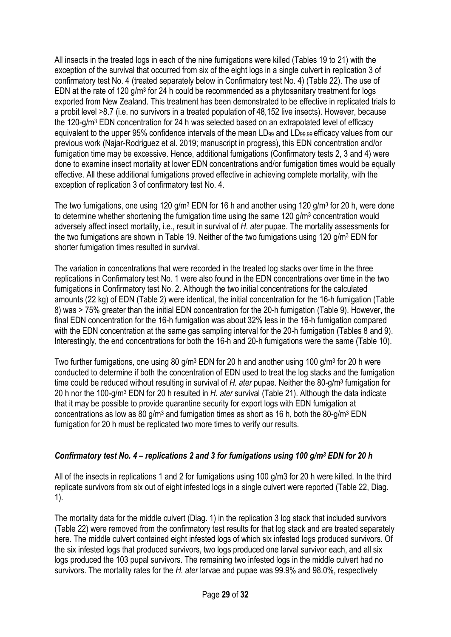All insects in the treated logs in each of the nine fumigations were killed (Tables 19 to 21) with the exception of the survival that occurred from six of the eight logs in a single culvert in replication 3 of confirmatory test No. 4 (treated separately below in Confirmatory test No. 4) (Table 22). The use of EDN at the rate of 120  $g/m<sup>3</sup>$  for 24 h could be recommended as a phytosanitary treatment for logs exported from New Zealand. This treatment has been demonstrated to be effective in replicated trials to a probit level >8.7 (i.e. no survivors in a treated population of 48,152 live insects). However, because the 120-g/m<sup>3</sup> EDN concentration for 24 h was selected based on an extrapolated level of efficacy equivalent to the upper 95% confidence intervals of the mean LD<sub>99</sub> and LD<sub>99.99</sub> efficacy values from our previous work (Najar-Rodriguez et al. 2019; manuscript in progress), this EDN concentration and/or fumigation time may be excessive. Hence, additional fumigations (Confirmatory tests 2, 3 and 4) were done to examine insect mortality at lower EDN concentrations and/or fumigation times would be equally effective. All these additional fumigations proved effective in achieving complete mortality, with the exception of replication 3 of confirmatory test No. 4.

The two fumigations, one using 120 g/m<sup>3</sup> EDN for 16 h and another using 120 g/m<sup>3</sup> for 20 h, were done to determine whether shortening the fumigation time using the same 120 g/m<sup>3</sup> concentration would adversely affect insect mortality, i.e., result in survival of H. ater pupae. The mortality assessments for the two fumigations are shown in Table 19. Neither of the two fumigations using 120 g/m<sup>3</sup> EDN for shorter fumigation times resulted in survival.

The variation in concentrations that were recorded in the treated log stacks over time in the three replications in Confirmatory test No. 1 were also found in the EDN concentrations over time in the two fumigations in Confirmatory test No. 2. Although the two initial concentrations for the calculated amounts (22 kg) of EDN (Table 2) were identical, the initial concentration for the 16-h fumigation (Table 8) was > 75% greater than the initial EDN concentration for the 20-h fumigation (Table 9). However, the final EDN concentration for the 16-h fumigation was about 32% less in the 16-h fumigation compared with the EDN concentration at the same gas sampling interval for the 20-h fumigation (Tables 8 and 9). Interestingly, the end concentrations for both the 16-h and 20-h fumigations were the same (Table 10).

Two further fumigations, one using 80 g/m<sup>3</sup> EDN for 20 h and another using 100 g/m<sup>3</sup> for 20 h were conducted to determine if both the concentration of EDN used to treat the log stacks and the fumigation time could be reduced without resulting in survival of H. ater pupae. Neither the 80-g/m<sup>3</sup> fumigation for 20 h nor the 100-g/m<sup>3</sup> EDN for 20 h resulted in H. ater survival (Table 21). Although the data indicate that it may be possible to provide quarantine security for export logs with EDN fumigation at concentrations as low as 80  $g/m^3$  and fumigation times as short as 16 h, both the 80- $g/m^3$  EDN fumigation for 20 h must be replicated two more times to verify our results.

### Confirmatory test No.  $4$  – replications 2 and 3 for fumigations using 100 g/m<sup>3</sup> EDN for 20 h

All of the insects in replications 1 and 2 for fumigations using 100 g/m3 for 20 h were killed. In the third replicate survivors from six out of eight infested logs in a single culvert were reported (Table 22, Diag. 1).

The mortality data for the middle culvert (Diag. 1) in the replication 3 log stack that included survivors (Table 22) were removed from the confirmatory test results for that log stack and are treated separately here. The middle culvert contained eight infested logs of which six infested logs produced survivors. Of the six infested logs that produced survivors, two logs produced one larval survivor each, and all six logs produced the 103 pupal survivors. The remaining two infested logs in the middle culvert had no survivors. The mortality rates for the H. ater larvae and pupae was 99.9% and 98.0%, respectively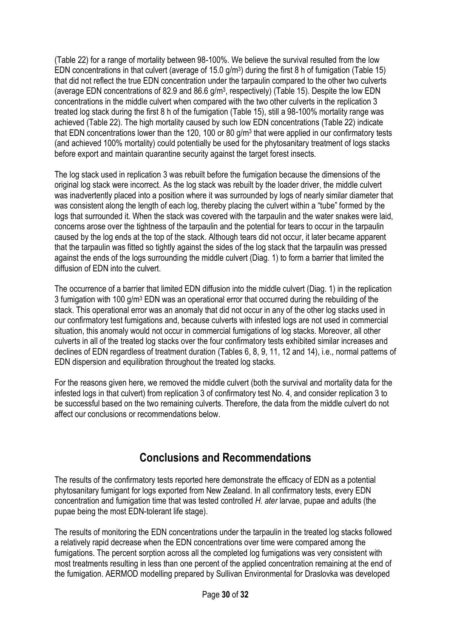(Table 22) for a range of mortality between 98-100%. We believe the survival resulted from the low EDN concentrations in that culvert (average of 15.0 g/m<sup>3</sup>) during the first 8 h of fumigation (Table 15) that did not reflect the true EDN concentration under the tarpaulin compared to the other two culverts (average EDN concentrations of 82.9 and 86.6 g/m<sup>3</sup> , respectively) (Table 15). Despite the low EDN concentrations in the middle culvert when compared with the two other culverts in the replication 3 treated log stack during the first 8 h of the fumigation (Table 15), still a 98-100% mortality range was achieved (Table 22). The high mortality caused by such low EDN concentrations (Table 22) indicate that EDN concentrations lower than the 120, 100 or 80  $g/m<sup>3</sup>$  that were applied in our confirmatory tests (and achieved 100% mortality) could potentially be used for the phytosanitary treatment of logs stacks before export and maintain quarantine security against the target forest insects.

The log stack used in replication 3 was rebuilt before the fumigation because the dimensions of the original log stack were incorrect. As the log stack was rebuilt by the loader driver, the middle culvert was inadvertently placed into a position where it was surrounded by logs of nearly similar diameter that was consistent along the length of each log, thereby placing the culvert within a "tube" formed by the logs that surrounded it. When the stack was covered with the tarpaulin and the water snakes were laid, concerns arose over the tightness of the tarpaulin and the potential for tears to occur in the tarpaulin caused by the log ends at the top of the stack. Although tears did not occur, it later became apparent that the tarpaulin was fitted so tightly against the sides of the log stack that the tarpaulin was pressed against the ends of the logs surrounding the middle culvert (Diag. 1) to form a barrier that limited the diffusion of EDN into the culvert.

The occurrence of a barrier that limited EDN diffusion into the middle culvert (Diag. 1) in the replication 3 fumigation with 100 g/m<sup>3</sup> EDN was an operational error that occurred during the rebuilding of the stack. This operational error was an anomaly that did not occur in any of the other log stacks used in our confirmatory test fumigations and, because culverts with infested logs are not used in commercial situation, this anomaly would not occur in commercial fumigations of log stacks. Moreover, all other culverts in all of the treated log stacks over the four confirmatory tests exhibited similar increases and declines of EDN regardless of treatment duration (Tables 6, 8, 9, 11, 12 and 14), i.e., normal patterns of EDN dispersion and equilibration throughout the treated log stacks.

For the reasons given here, we removed the middle culvert (both the survival and mortality data for the infested logs in that culvert) from replication 3 of confirmatory test No. 4, and consider replication 3 to be successful based on the two remaining culverts. Therefore, the data from the middle culvert do not affect our conclusions or recommendations below.

# Conclusions and Recommendations

The results of the confirmatory tests reported here demonstrate the efficacy of EDN as a potential phytosanitary fumigant for logs exported from New Zealand. In all confirmatory tests, every EDN concentration and fumigation time that was tested controlled H. ater larvae, pupae and adults (the pupae being the most EDN-tolerant life stage).

The results of monitoring the EDN concentrations under the tarpaulin in the treated log stacks followed a relatively rapid decrease when the EDN concentrations over time were compared among the fumigations. The percent sorption across all the completed log fumigations was very consistent with most treatments resulting in less than one percent of the applied concentration remaining at the end of the fumigation. AERMOD modelling prepared by Sullivan Environmental for Draslovka was developed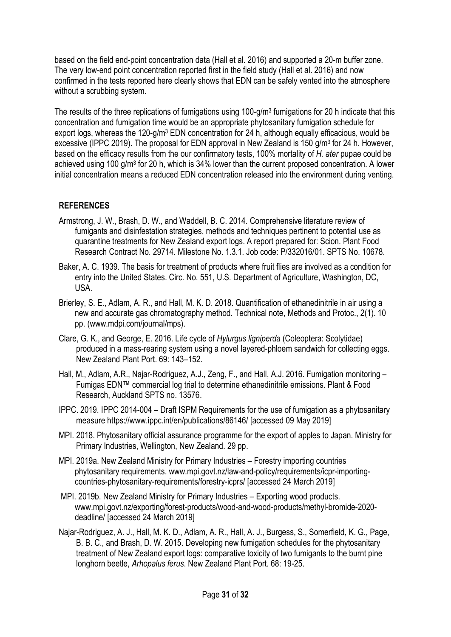based on the field end-point concentration data (Hall et al. 2016) and supported a 20-m buffer zone. The very low-end point concentration reported first in the field study (Hall et al. 2016) and now confirmed in the tests reported here clearly shows that EDN can be safely vented into the atmosphere without a scrubbing system.

The results of the three replications of fumigations using 100-g/m<sup>3</sup> fumigations for 20 h indicate that this concentration and fumigation time would be an appropriate phytosanitary fumigation schedule for export logs, whereas the 120-g/m<sup>3</sup> EDN concentration for 24 h, although equally efficacious, would be excessive (IPPC 2019). The proposal for EDN approval in New Zealand is 150 g/m<sup>3</sup> for 24 h. However, based on the efficacy results from the our confirmatory tests, 100% mortality of H. ater pupae could be achieved using 100 g/m<sup>3</sup> for 20 h, which is 34% lower than the current proposed concentration. A lower initial concentration means a reduced EDN concentration released into the environment during venting.

## **REFERENCES**

- Armstrong, J. W., Brash, D. W., and Waddell, B. C. 2014. Comprehensive literature review of fumigants and disinfestation strategies, methods and techniques pertinent to potential use as quarantine treatments for New Zealand export logs. A report prepared for: Scion. Plant Food Research Contract No. 29714. Milestone No. 1.3.1. Job code: P/332016/01. SPTS No. 10678.
- Baker, A. C. 1939. The basis for treatment of products where fruit flies are involved as a condition for entry into the United States. Circ. No. 551, U.S. Department of Agriculture, Washington, DC, USA.
- Brierley, S. E., Adlam, A. R., and Hall, M. K. D. 2018. Quantification of ethanedinitrile in air using a new and accurate gas chromatography method. Technical note, Methods and Protoc., 2(1). 10 pp. (www.mdpi.com/journal/mps).
- Clare, G. K., and George, E. 2016. Life cycle of Hylurgus ligniperda (Coleoptera: Scolytidae) produced in a mass-rearing system using a novel layered-phloem sandwich for collecting eggs. New Zealand Plant Port. 69: 143–152.
- Hall, M., Adlam, A.R., Najar-Rodriguez, A.J., Zeng, F., and Hall, A.J. 2016. Fumigation monitoring Fumigas EDN™ commercial log trial to determine ethanedinitrile emissions. Plant & Food Research, Auckland SPTS no. 13576.
- IPPC. 2019. IPPC 2014-004 Draft ISPM Requirements for the use of fumigation as a phytosanitary measure https://www.ippc.int/en/publications/86146/ [accessed 09 May 2019]
- MPI. 2018. Phytosanitary official assurance programme for the export of apples to Japan. Ministry for Primary Industries, Wellington, New Zealand. 29 pp.
- MPI. 2019a. New Zealand Ministry for Primary Industries Forestry importing countries phytosanitary requirements. www.mpi.govt.nz/law-and-policy/requirements/icpr-importingcountries-phytosanitary-requirements/forestry-icprs/ [accessed 24 March 2019]
- MPI. 2019b. New Zealand Ministry for Primary Industries Exporting wood products. www.mpi.govt.nz/exporting/forest-products/wood-and-wood-products/methyl-bromide-2020 deadline/ [accessed 24 March 2019]
- Najar-Rodriguez, A. J., Hall, M. K. D., Adlam, A. R., Hall, A. J., Burgess, S., Somerfield, K. G., Page, B. B. C., and Brash, D. W. 2015. Developing new fumigation schedules for the phytosanitary treatment of New Zealand export logs: comparative toxicity of two fumigants to the burnt pine longhorn beetle, Arhopalus ferus. New Zealand Plant Port. 68: 19-25.